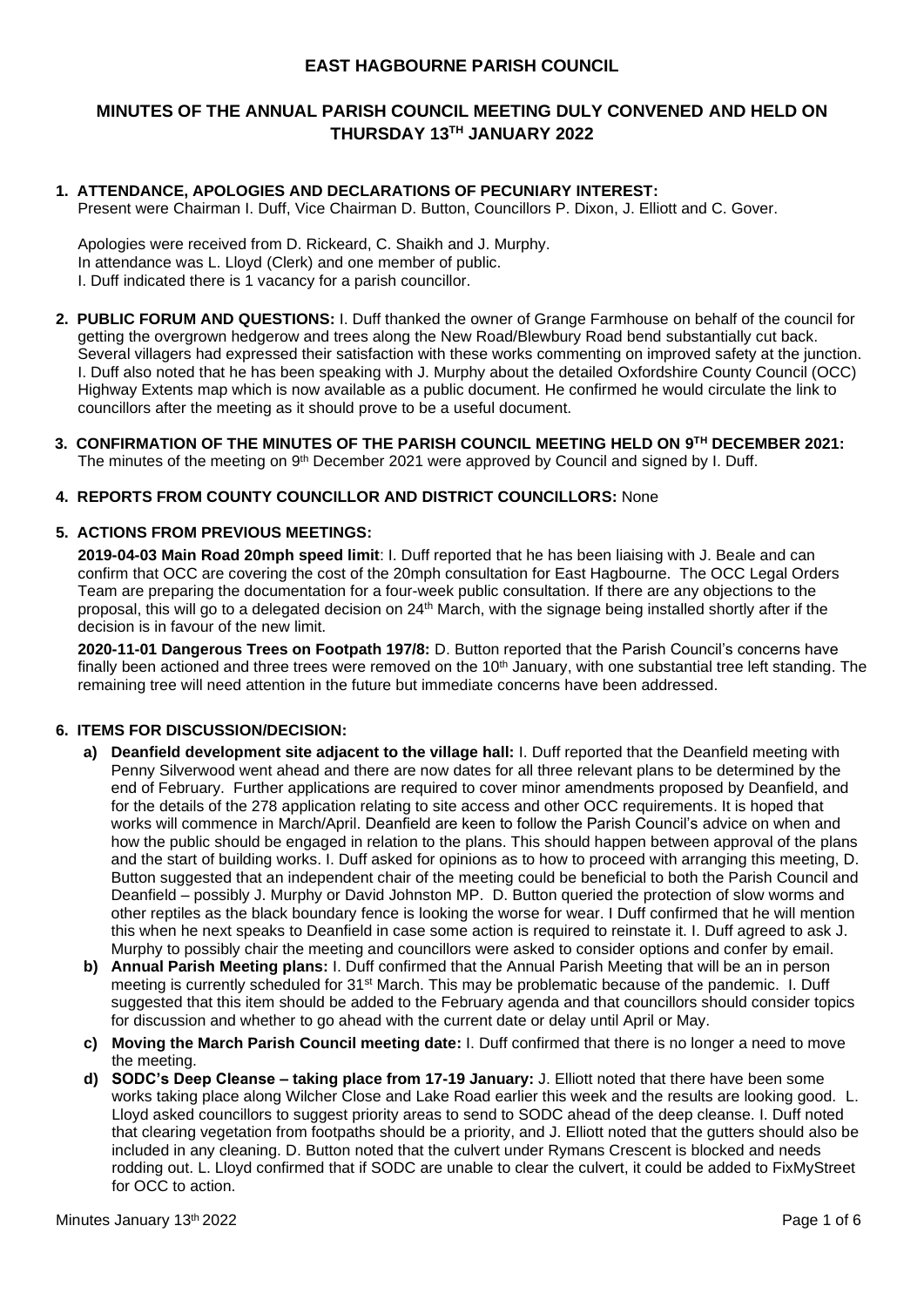### **EAST HAGBOURNE PARISH COUNCIL**

## **MINUTES OF THE ANNUAL PARISH COUNCIL MEETING DULY CONVENED AND HELD ON THURSDAY 13TH JANUARY 2022**

## **1. ATTENDANCE, APOLOGIES AND DECLARATIONS OF PECUNIARY INTEREST:**

Present were Chairman I. Duff, Vice Chairman D. Button, Councillors P. Dixon, J. Elliott and C. Gover.

Apologies were received from D. Rickeard, C. Shaikh and J. Murphy. In attendance was L. Lloyd (Clerk) and one member of public. I. Duff indicated there is 1 vacancy for a parish councillor.

- **2. PUBLIC FORUM AND QUESTIONS:** I. Duff thanked the owner of Grange Farmhouse on behalf of the council for getting the overgrown hedgerow and trees along the New Road/Blewbury Road bend substantially cut back. Several villagers had expressed their satisfaction with these works commenting on improved safety at the junction. I. Duff also noted that he has been speaking with J. Murphy about the detailed Oxfordshire County Council (OCC) Highway Extents map which is now available as a public document. He confirmed he would circulate the link to councillors after the meeting as it should prove to be a useful document.
- **3. CONFIRMATION OF THE MINUTES OF THE PARISH COUNCIL MEETING HELD ON 9 TH DECEMBER 2021:** The minutes of the meeting on 9<sup>th</sup> December 2021 were approved by Council and signed by I. Duff.

#### **4. REPORTS FROM COUNTY COUNCILLOR AND DISTRICT COUNCILLORS:** None

#### **5. ACTIONS FROM PREVIOUS MEETINGS:**

**2019-04-03 Main Road 20mph speed limit**: I. Duff reported that he has been liaising with J. Beale and can confirm that OCC are covering the cost of the 20mph consultation for East Hagbourne. The OCC Legal Orders Team are preparing the documentation for a four-week public consultation. If there are any objections to the proposal, this will go to a delegated decision on 24th March, with the signage being installed shortly after if the decision is in favour of the new limit.

**2020-11-01 Dangerous Trees on Footpath 197/8:** D. Button reported that the Parish Council's concerns have finally been actioned and three trees were removed on the  $10<sup>th</sup>$  January, with one substantial tree left standing. The remaining tree will need attention in the future but immediate concerns have been addressed.

### **6. ITEMS FOR DISCUSSION/DECISION:**

- **a) Deanfield development site adjacent to the village hall:** I. Duff reported that the Deanfield meeting with Penny Silverwood went ahead and there are now dates for all three relevant plans to be determined by the end of February. Further applications are required to cover minor amendments proposed by Deanfield, and for the details of the 278 application relating to site access and other OCC requirements. It is hoped that works will commence in March/April. Deanfield are keen to follow the Parish Council's advice on when and how the public should be engaged in relation to the plans. This should happen between approval of the plans and the start of building works. I. Duff asked for opinions as to how to proceed with arranging this meeting, D. Button suggested that an independent chair of the meeting could be beneficial to both the Parish Council and Deanfield – possibly J. Murphy or David Johnston MP. D. Button queried the protection of slow worms and other reptiles as the black boundary fence is looking the worse for wear. I Duff confirmed that he will mention this when he next speaks to Deanfield in case some action is required to reinstate it. I. Duff agreed to ask J. Murphy to possibly chair the meeting and councillors were asked to consider options and confer by email.
- **b) Annual Parish Meeting plans:** I. Duff confirmed that the Annual Parish Meeting that will be an in person meeting is currently scheduled for 31st March. This may be problematic because of the pandemic. I. Duff suggested that this item should be added to the February agenda and that councillors should consider topics for discussion and whether to go ahead with the current date or delay until April or May.
- **c) Moving the March Parish Council meeting date:** I. Duff confirmed that there is no longer a need to move the meeting.
- **d) SODC's Deep Cleanse – taking place from 17-19 January:** J. Elliott noted that there have been some works taking place along Wilcher Close and Lake Road earlier this week and the results are looking good. L. Lloyd asked councillors to suggest priority areas to send to SODC ahead of the deep cleanse. I. Duff noted that clearing vegetation from footpaths should be a priority, and J. Elliott noted that the gutters should also be included in any cleaning. D. Button noted that the culvert under Rymans Crescent is blocked and needs rodding out. L. Lloyd confirmed that if SODC are unable to clear the culvert, it could be added to FixMyStreet for OCC to action.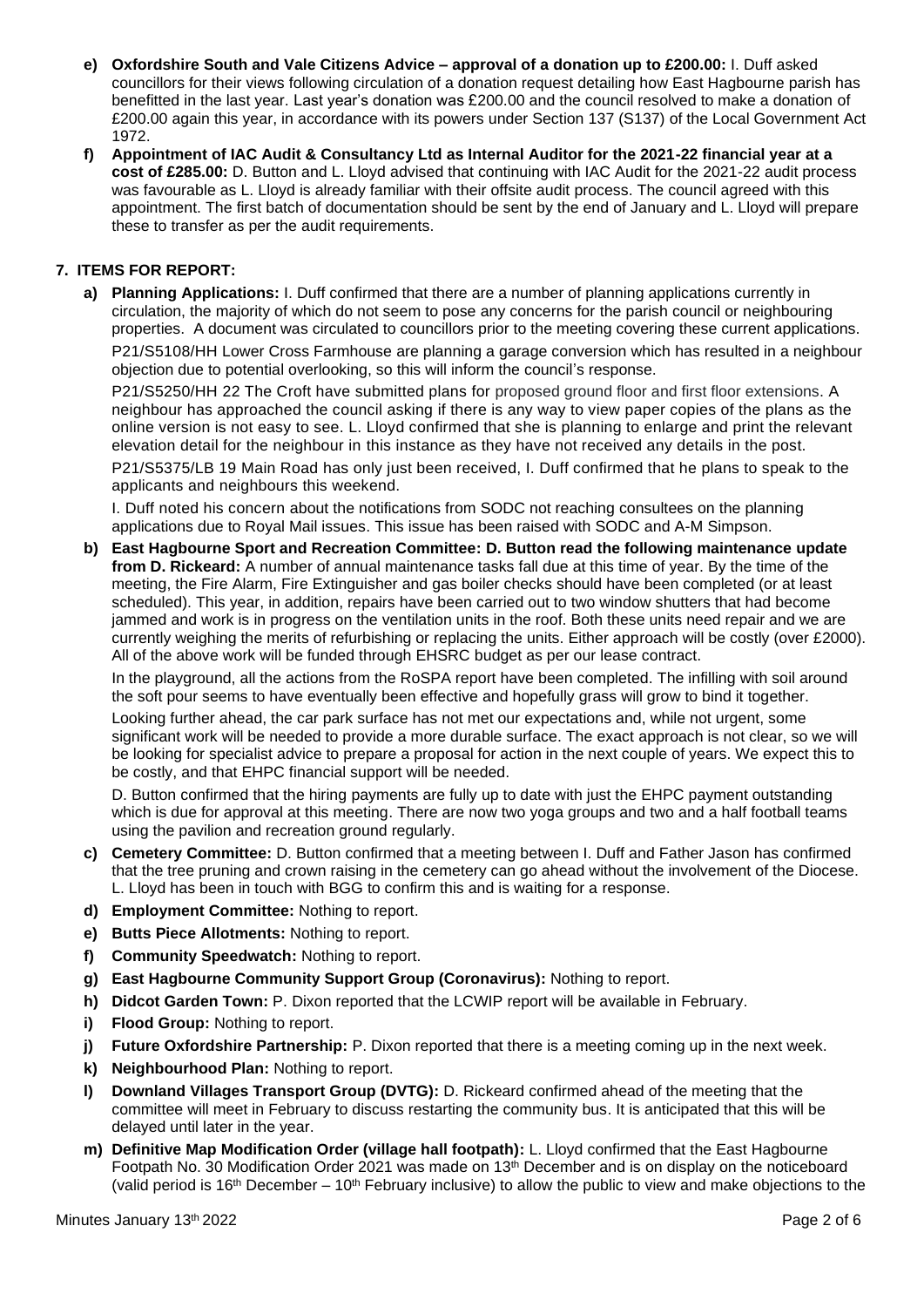- **e) Oxfordshire South and Vale Citizens Advice – approval of a donation up to £200.00:** I. Duff asked councillors for their views following circulation of a donation request detailing how East Hagbourne parish has benefitted in the last year. Last year's donation was £200.00 and the council resolved to make a donation of £200.00 again this year, in accordance with its powers under Section 137 (S137) of the Local Government Act 1972.
- **f) Appointment of IAC Audit & Consultancy Ltd as Internal Auditor for the 2021-22 financial year at a cost of £285.00:** D. Button and L. Lloyd advised that continuing with IAC Audit for the 2021-22 audit process was favourable as L. Lloyd is already familiar with their offsite audit process. The council agreed with this appointment. The first batch of documentation should be sent by the end of January and L. Lloyd will prepare these to transfer as per the audit requirements.

## **7. ITEMS FOR REPORT:**

**a) Planning Applications:** I. Duff confirmed that there are a number of planning applications currently in circulation, the majority of which do not seem to pose any concerns for the parish council or neighbouring properties. A document was circulated to councillors prior to the meeting covering these current applications.

P21/S5108/HH Lower Cross Farmhouse are planning a garage conversion which has resulted in a neighbour objection due to potential overlooking, so this will inform the council's response.

P21/S5250/HH 22 The Croft have submitted plans for proposed ground floor and first floor extensions. A neighbour has approached the council asking if there is any way to view paper copies of the plans as the online version is not easy to see. L. Lloyd confirmed that she is planning to enlarge and print the relevant elevation detail for the neighbour in this instance as they have not received any details in the post.

P21/S5375/LB 19 Main Road has only just been received, I. Duff confirmed that he plans to speak to the applicants and neighbours this weekend.

I. Duff noted his concern about the notifications from SODC not reaching consultees on the planning applications due to Royal Mail issues. This issue has been raised with SODC and A-M Simpson.

**b) East Hagbourne Sport and Recreation Committee: D. Button read the following maintenance update from D. Rickeard:** A number of annual maintenance tasks fall due at this time of year. By the time of the meeting, the Fire Alarm, Fire Extinguisher and gas boiler checks should have been completed (or at least scheduled). This year, in addition, repairs have been carried out to two window shutters that had become jammed and work is in progress on the ventilation units in the roof. Both these units need repair and we are currently weighing the merits of refurbishing or replacing the units. Either approach will be costly (over £2000). All of the above work will be funded through EHSRC budget as per our lease contract.

In the playground, all the actions from the RoSPA report have been completed. The infilling with soil around the soft pour seems to have eventually been effective and hopefully grass will grow to bind it together.

Looking further ahead, the car park surface has not met our expectations and, while not urgent, some significant work will be needed to provide a more durable surface. The exact approach is not clear, so we will be looking for specialist advice to prepare a proposal for action in the next couple of years. We expect this to be costly, and that EHPC financial support will be needed.

D. Button confirmed that the hiring payments are fully up to date with just the EHPC payment outstanding which is due for approval at this meeting. There are now two yoga groups and two and a half football teams using the pavilion and recreation ground regularly.

- **c) Cemetery Committee:** D. Button confirmed that a meeting between I. Duff and Father Jason has confirmed that the tree pruning and crown raising in the cemetery can go ahead without the involvement of the Diocese. L. Lloyd has been in touch with BGG to confirm this and is waiting for a response.
- **d) Employment Committee:** Nothing to report.
- **e) Butts Piece Allotments:** Nothing to report.
- **f) Community Speedwatch:** Nothing to report.
- **g) East Hagbourne Community Support Group (Coronavirus):** Nothing to report.
- **h) Didcot Garden Town:** P. Dixon reported that the LCWIP report will be available in February.
- **i) Flood Group:** Nothing to report.
- **j) Future Oxfordshire Partnership:** P. Dixon reported that there is a meeting coming up in the next week.
- **k) Neighbourhood Plan:** Nothing to report.
- **l) Downland Villages Transport Group (DVTG):** D. Rickeard confirmed ahead of the meeting that the committee will meet in February to discuss restarting the community bus. It is anticipated that this will be delayed until later in the year.
- **m) Definitive Map Modification Order (village hall footpath):** L. Lloyd confirmed that the East Hagbourne Footpath No. 30 Modification Order 2021 was made on 13th December and is on display on the noticeboard (valid period is 16<sup>th</sup> December – 10<sup>th</sup> February inclusive) to allow the public to view and make objections to the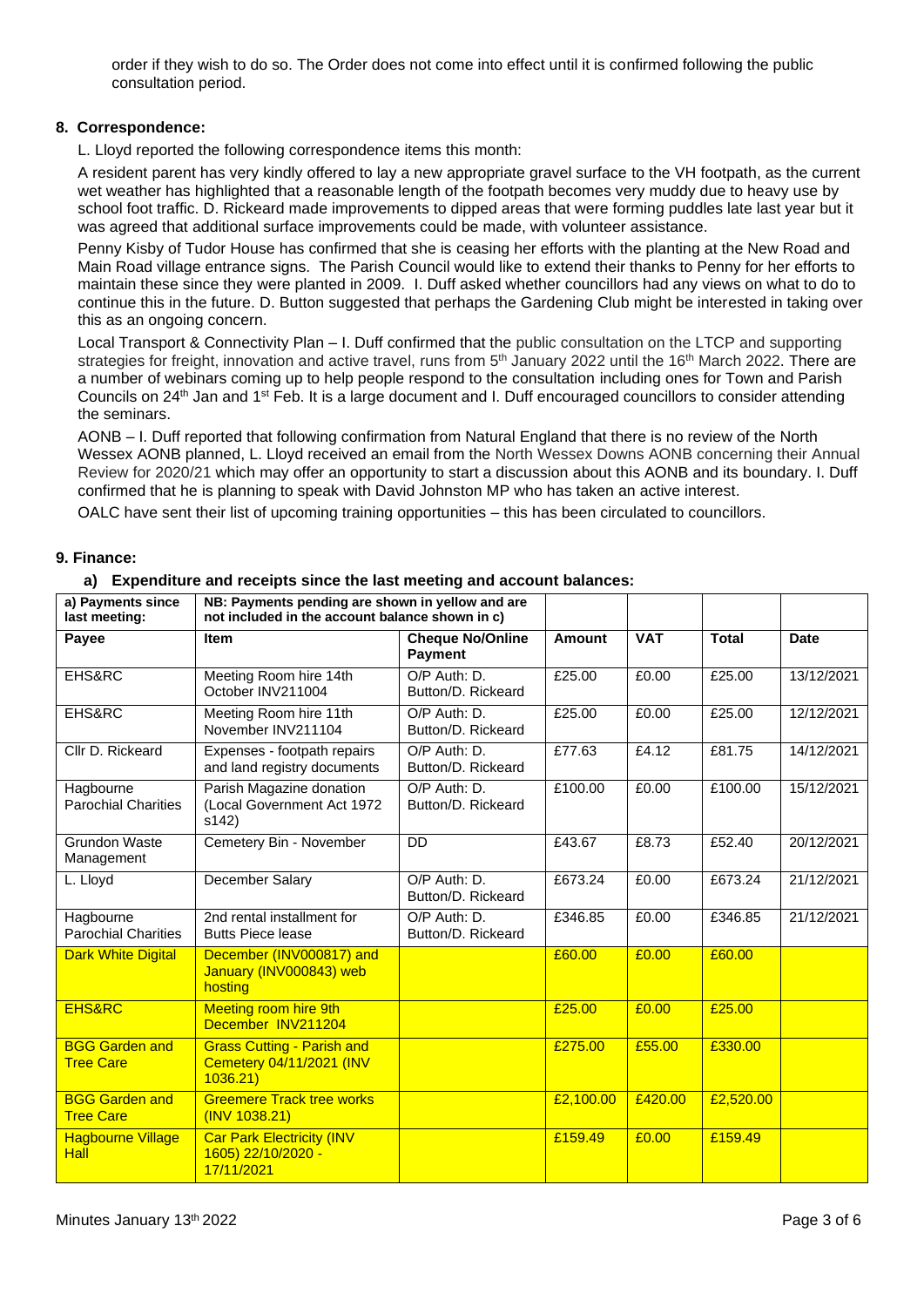order if they wish to do so. The Order does not come into effect until it is confirmed following the public consultation period.

### **8. Correspondence:**

L. Lloyd reported the following correspondence items this month:

A resident parent has very kindly offered to lay a new appropriate gravel surface to the VH footpath, as the current wet weather has highlighted that a reasonable length of the footpath becomes very muddy due to heavy use by school foot traffic. D. Rickeard made improvements to dipped areas that were forming puddles late last year but it was agreed that additional surface improvements could be made, with volunteer assistance.

Penny Kisby of Tudor House has confirmed that she is ceasing her efforts with the planting at the New Road and Main Road village entrance signs. The Parish Council would like to extend their thanks to Penny for her efforts to maintain these since they were planted in 2009. I. Duff asked whether councillors had any views on what to do to continue this in the future. D. Button suggested that perhaps the Gardening Club might be interested in taking over this as an ongoing concern.

Local Transport & Connectivity Plan – I. Duff confirmed that the public consultation on the LTCP and supporting strategies for freight, innovation and active travel, runs from 5<sup>th</sup> January 2022 until the 16<sup>th</sup> March 2022. There are a number of webinars coming up to help people respond to the consultation including ones for Town and Parish Councils on 24th Jan and 1st Feb. It is a large document and I. Duff encouraged councillors to consider attending the seminars.

AONB – I. Duff reported that following confirmation from Natural England that there is no review of the North Wessex AONB planned, L. Lloyd received an email from the North Wessex Downs AONB concerning their Annual Review for 2020/21 which may offer an opportunity to start a discussion about this AONB and its boundary. I. Duff confirmed that he is planning to speak with David Johnston MP who has taken an active interest.

OALC have sent their list of upcoming training opportunities – this has been circulated to councillors.

#### **9. Finance:**

#### **a) Expenditure and receipts since the last meeting and account balances:**

| a) Payments since<br>last meeting:        | NB: Payments pending are shown in yellow and are<br>not included in the account balance shown in c) |                                           |               |            |              |             |
|-------------------------------------------|-----------------------------------------------------------------------------------------------------|-------------------------------------------|---------------|------------|--------------|-------------|
| Payee                                     | <b>Item</b>                                                                                         | <b>Cheque No/Online</b><br><b>Payment</b> | <b>Amount</b> | <b>VAT</b> | <b>Total</b> | <b>Date</b> |
| EHS&RC                                    | Meeting Room hire 14th<br>October INV211004                                                         | O/P Auth: D.<br>Button/D. Rickeard        | £25.00        | £0.00      | £25.00       | 13/12/2021  |
| EHS&RC                                    | Meeting Room hire 11th<br>November INV211104                                                        | O/P Auth: D.<br>Button/D. Rickeard        | £25.00        | £0.00      | £25.00       | 12/12/2021  |
| Cllr D. Rickeard                          | Expenses - footpath repairs<br>and land registry documents                                          | O/P Auth: D.<br>Button/D. Rickeard        | £77.63        | £4.12      | £81.75       | 14/12/2021  |
| Hagbourne<br><b>Parochial Charities</b>   | Parish Magazine donation<br>(Local Government Act 1972<br>s142)                                     | O/P Auth: D.<br>Button/D. Rickeard        | £100.00       | £0.00      | £100.00      | 15/12/2021  |
| <b>Grundon Waste</b><br>Management        | Cemetery Bin - November                                                                             | DD                                        | £43.67        | £8.73      | £52.40       | 20/12/2021  |
| L. Lloyd                                  | December Salary                                                                                     | O/P Auth: D.<br>Button/D. Rickeard        | £673.24       | £0.00      | £673.24      | 21/12/2021  |
| Hagbourne<br><b>Parochial Charities</b>   | 2nd rental installment for<br><b>Butts Piece lease</b>                                              | O/P Auth: D.<br>Button/D. Rickeard        | £346.85       | £0.00      | £346.85      | 21/12/2021  |
| <b>Dark White Digital</b>                 | December (INV000817) and<br>January (INV000843) web<br>hosting                                      |                                           | £60.00        | £0.00      | £60.00       |             |
| <b>EHS&amp;RC</b>                         | <b>Meeting room hire 9th</b><br>December INV211204                                                  |                                           | £25.00        | £0.00      | £25.00       |             |
| <b>BGG Garden and</b><br><b>Tree Care</b> | <b>Grass Cutting - Parish and</b><br>Cemetery 04/11/2021 (INV<br>1036.21                            |                                           | £275.00       | £55.00     | £330.00      |             |
| <b>BGG Garden and</b><br><b>Tree Care</b> | <b>Greemere Track tree works</b><br>(INV 1038.21)                                                   |                                           | £2,100.00     | £420.00    | £2,520.00    |             |
| <b>Hagbourne Village</b><br><b>Hall</b>   | <b>Car Park Electricity (INV</b><br>1605) 22/10/2020 -<br>17/11/2021                                |                                           | £159.49       | £0.00      | £159.49      |             |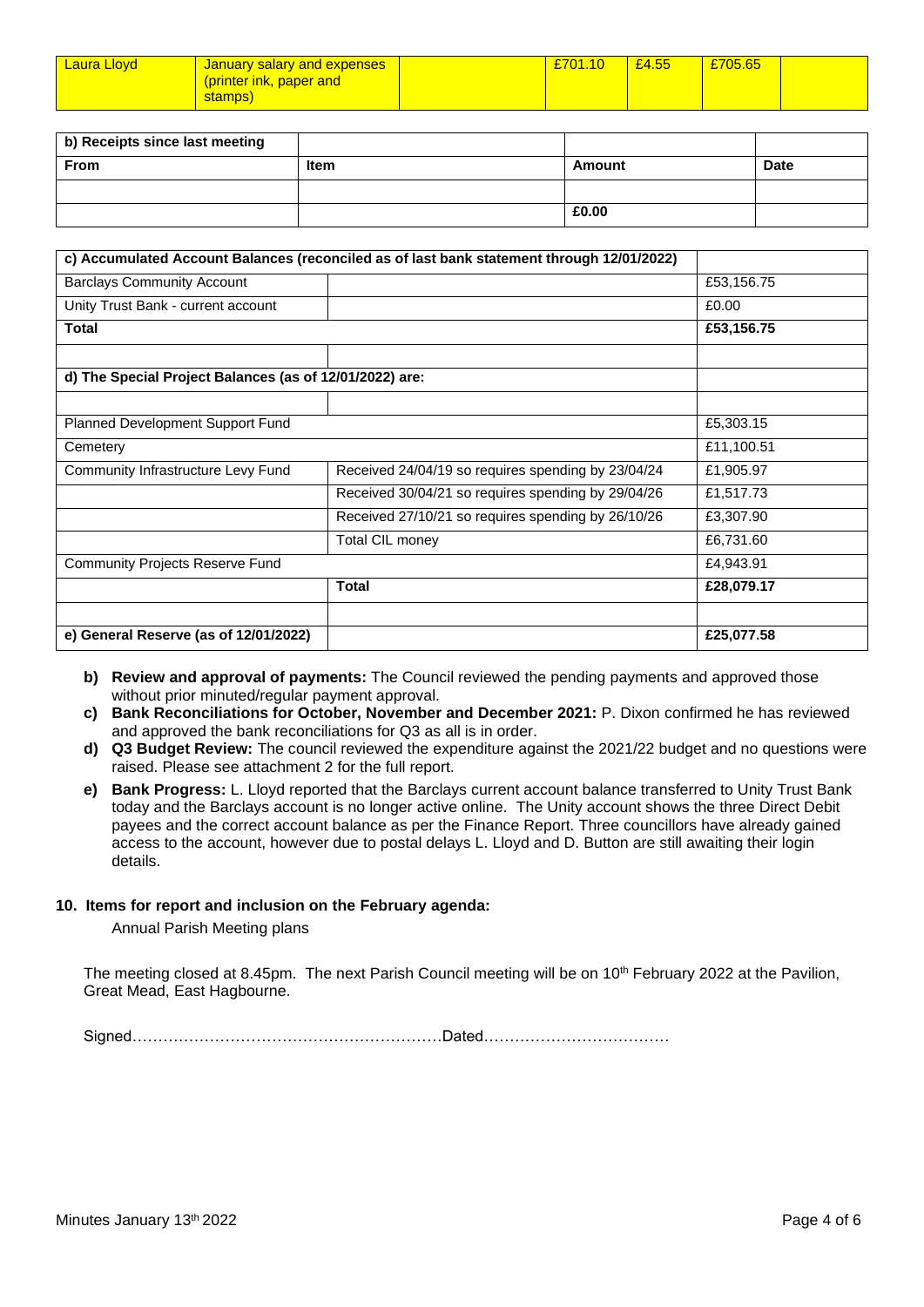| <b>Laura Llovd</b> | <b>January salary and expenses</b> | £701.10 | £4.55 | £705.65 |  |
|--------------------|------------------------------------|---------|-------|---------|--|
|                    | (printer ink, paper and            |         |       |         |  |
|                    | stamps)                            |         |       |         |  |

| b) Receipts since last meeting |      |        |             |
|--------------------------------|------|--------|-------------|
| <b>From</b>                    | Item | Amount | <b>Date</b> |
|                                |      |        |             |
|                                |      | £0.00  |             |

|                                                         | c) Accumulated Account Balances (reconciled as of last bank statement through 12/01/2022) |            |
|---------------------------------------------------------|-------------------------------------------------------------------------------------------|------------|
| <b>Barclays Community Account</b>                       |                                                                                           | £53,156.75 |
| Unity Trust Bank - current account                      |                                                                                           | £0.00      |
| <b>Total</b>                                            | £53,156.75                                                                                |            |
|                                                         |                                                                                           |            |
| d) The Special Project Balances (as of 12/01/2022) are: |                                                                                           |            |
|                                                         |                                                                                           |            |
| Planned Development Support Fund                        | £5,303.15                                                                                 |            |
| Cemetery                                                |                                                                                           | £11,100.51 |
| Community Infrastructure Levy Fund                      | Received 24/04/19 so requires spending by 23/04/24                                        | £1,905.97  |
|                                                         | Received 30/04/21 so requires spending by 29/04/26                                        | £1,517.73  |
|                                                         | Received 27/10/21 so requires spending by 26/10/26                                        | £3,307.90  |
|                                                         | Total CIL money                                                                           | £6,731.60  |
| <b>Community Projects Reserve Fund</b>                  | £4,943.91                                                                                 |            |
|                                                         | <b>Total</b>                                                                              | £28,079.17 |
|                                                         |                                                                                           |            |
| e) General Reserve (as of 12/01/2022)                   |                                                                                           | £25,077.58 |

**b) Review and approval of payments:** The Council reviewed the pending payments and approved those without prior minuted/regular payment approval.

- **c) Bank Reconciliations for October, November and December 2021:** P. Dixon confirmed he has reviewed and approved the bank reconciliations for Q3 as all is in order.
- **d) Q3 Budget Review:** The council reviewed the expenditure against the 2021/22 budget and no questions were raised. Please see attachment 2 for the full report.
- **e) Bank Progress:** L. Lloyd reported that the Barclays current account balance transferred to Unity Trust Bank today and the Barclays account is no longer active online. The Unity account shows the three Direct Debit payees and the correct account balance as per the Finance Report. Three councillors have already gained access to the account, however due to postal delays L. Lloyd and D. Button are still awaiting their login details.

#### **10. Items for report and inclusion on the February agenda:**

Annual Parish Meeting plans

The meeting closed at 8.45pm. The next Parish Council meeting will be on 10<sup>th</sup> February 2022 at the Pavilion, Great Mead, East Hagbourne.

Signed……………………………………………………Dated………………………………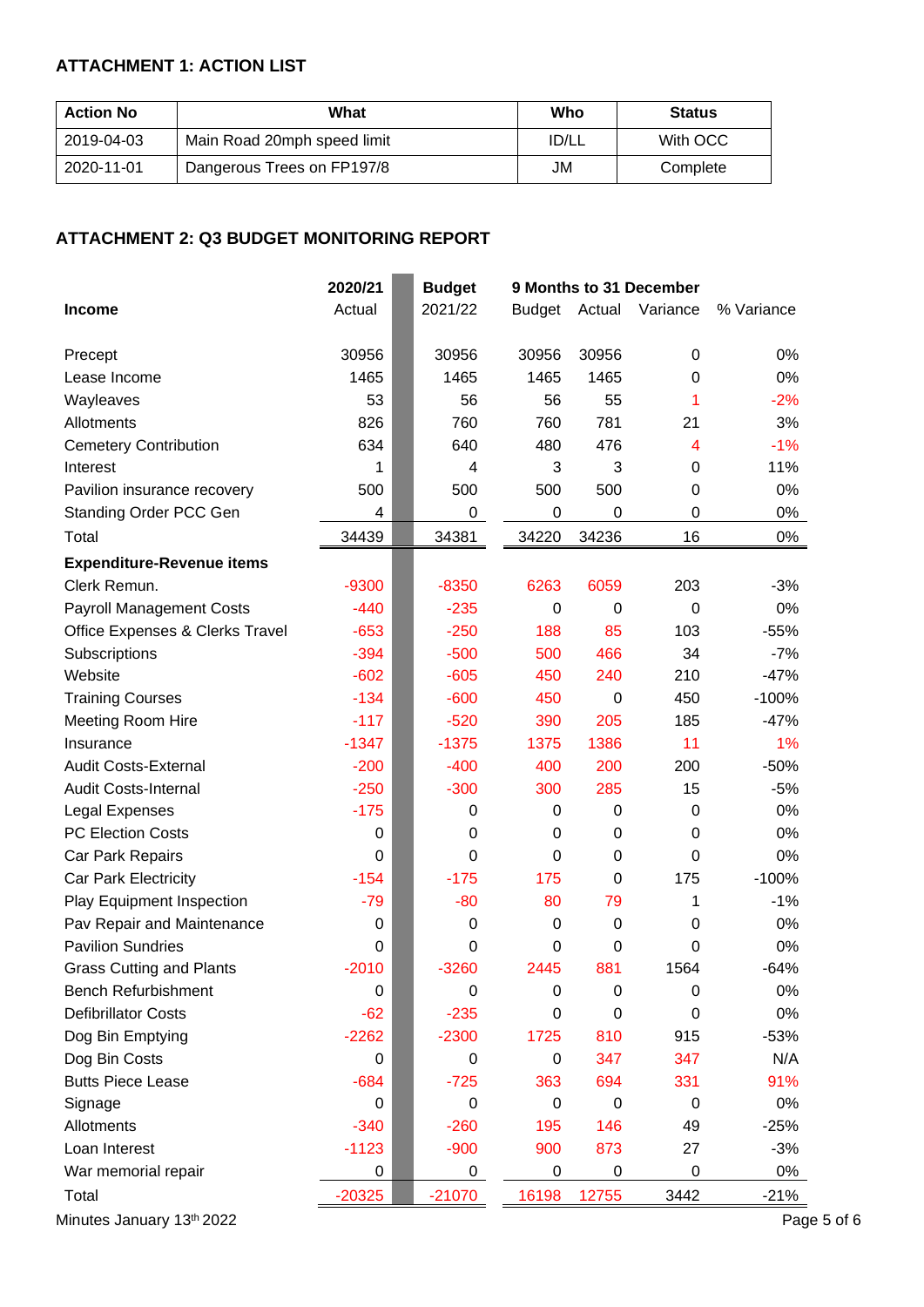# **ATTACHMENT 1: ACTION LIST**

| <b>Action No</b> | What                        | Who   | <b>Status</b> |
|------------------|-----------------------------|-------|---------------|
| 2019-04-03       | Main Road 20mph speed limit | ID/LL | With OCC      |
| 2020-11-01       | Dangerous Trees on FP197/8  | JM    | Complete      |

## **ATTACHMENT 2: Q3 BUDGET MONITORING REPORT**

|                                  | 2020/21  | <b>Budget</b>    | 9 Months to 31 December |             |                 |             |
|----------------------------------|----------|------------------|-------------------------|-------------|-----------------|-------------|
| <b>Income</b>                    | Actual   | 2021/22          | <b>Budget</b>           |             | Actual Variance | % Variance  |
| Precept                          | 30956    | 30956            | 30956                   | 30956       | $\pmb{0}$       | 0%          |
| Lease Income                     | 1465     | 1465             | 1465                    | 1465        | 0               | 0%          |
| Wayleaves                        | 53       | 56               | 56                      | 55          | 1               | $-2%$       |
| Allotments                       | 826      | 760              | 760                     | 781         | 21              | 3%          |
| <b>Cemetery Contribution</b>     | 634      | 640              | 480                     | 476         | 4               | $-1%$       |
| Interest                         | 1        | 4                | 3                       | 3           | 0               | 11%         |
| Pavilion insurance recovery      | 500      | 500              | 500                     | 500         | 0               | 0%          |
| Standing Order PCC Gen           | 4        | 0                | 0                       | 0           | 0               | 0%          |
| Total                            | 34439    | 34381            | 34220                   | 34236       | 16              | $0\%$       |
| <b>Expenditure-Revenue items</b> |          |                  |                         |             |                 |             |
| Clerk Remun.                     | $-9300$  | $-8350$          | 6263                    | 6059        | 203             | $-3%$       |
| <b>Payroll Management Costs</b>  | $-440$   | $-235$           | 0                       | 0           | $\mathbf 0$     | 0%          |
| Office Expenses & Clerks Travel  | $-653$   | $-250$           | 188                     | 85          | 103             | $-55%$      |
| Subscriptions                    | $-394$   | $-500$           | 500                     | 466         | 34              | $-7%$       |
| Website                          | $-602$   | $-605$           | 450                     | 240         | 210             | $-47%$      |
| <b>Training Courses</b>          | $-134$   | $-600$           | 450                     | $\mathbf 0$ | 450             | $-100%$     |
| Meeting Room Hire                | $-117$   | $-520$           | 390                     | 205         | 185             | $-47%$      |
| Insurance                        | $-1347$  | $-1375$          | 1375                    | 1386        | 11              | 1%          |
| <b>Audit Costs-External</b>      | $-200$   | $-400$           | 400                     | 200         | 200             | $-50%$      |
| <b>Audit Costs-Internal</b>      | $-250$   | $-300$           | 300                     | 285         | 15              | $-5%$       |
| Legal Expenses                   | $-175$   | 0                | 0                       | 0           | $\mathbf 0$     | 0%          |
| <b>PC Election Costs</b>         | 0        | $\boldsymbol{0}$ | $\pmb{0}$               | 0           | 0               | 0%          |
| Car Park Repairs                 | 0        | 0                | 0                       | 0           | $\mathbf 0$     | 0%          |
| Car Park Electricity             | $-154$   | $-175$           | 175                     | 0           | 175             | $-100%$     |
| <b>Play Equipment Inspection</b> | $-79$    | $-80$            | 80                      | 79          | 1               | $-1%$       |
| Pav Repair and Maintenance       | 0        | 0                | $\pmb{0}$               | 0           | 0               | 0%          |
| <b>Pavilion Sundries</b>         | 0        | 0                | $\pmb{0}$               | 0           | 0               | 0%          |
| <b>Grass Cutting and Plants</b>  | $-2010$  | $-3260$          | 2445                    | 881         | 1564            | $-64%$      |
| <b>Bench Refurbishment</b>       | 0        | $\boldsymbol{0}$ | $\boldsymbol{0}$        | 0           | $\mathbf 0$     | 0%          |
| <b>Defibrillator Costs</b>       | $-62$    | $-235$           | 0                       | 0           | 0               | 0%          |
| Dog Bin Emptying                 | $-2262$  | $-2300$          | 1725                    | 810         | 915             | $-53%$      |
| Dog Bin Costs                    | 0        | 0                | $\pmb{0}$               | 347         | 347             | N/A         |
| <b>Butts Piece Lease</b>         | $-684$   | $-725$           | 363                     | 694         | 331             | 91%         |
| Signage                          | 0        | 0                | 0                       | 0           | $\mathbf 0$     | 0%          |
| Allotments                       | $-340$   | $-260$           | 195                     | 146         | 49              | $-25%$      |
| Loan Interest                    | $-1123$  | $-900$           | 900                     | 873         | 27              | $-3%$       |
| War memorial repair              | 0        | 0                | $\mathbf 0$             | 0           | 0               | 0%          |
| Total                            | $-20325$ | $-21070$         | 16198                   | 12755       | 3442            | $-21%$      |
| Minutes January 13th 2022        |          |                  |                         |             |                 | Page 5 of 6 |